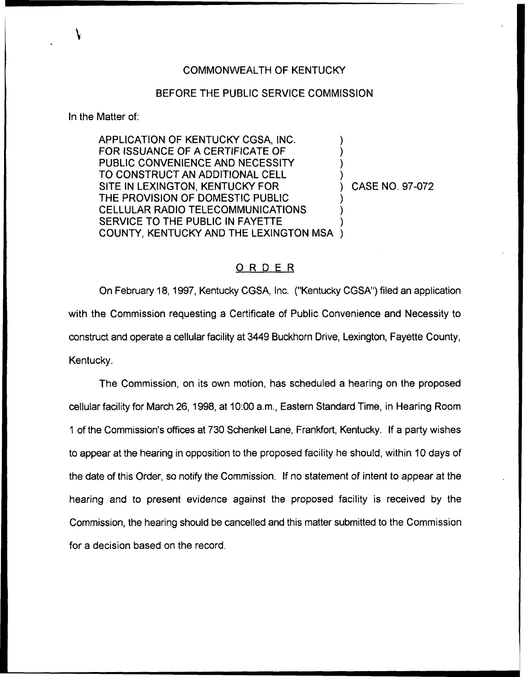## COMMONN/EALTH OF KENTUCKY

## BEFORE THE PUBLIC SERVICE COMMISSION

In the Matter of:

APPLICATION OF KENTUCKY COSA, INC. FOR ISSUANCE OF A CERTIFICATE OF PUBLIC CONVENIENCE AND NECESSITY TO CONSTRUCT AN ADDITIONAL CELL SITE IN LEXINGTON, KENTUCKY FOR THE PROVISION OF DOMESTIC PUBLIC CELLULAR RADIO TELECOMMUNICATIONS SERVICE TO THE PUBLIC IN FAYETTE COUNTY, KENTUCKY AND THE LEXINGTON MSA )

) CASE NO. 97-072

) ) ) )

) ) )

## ORDER

On February 18, 1997, Kentucky CGSA, Inc. ("Kentucky CGSA") filed an application with the Commission requesting a Certificate of Public Convenience and Necessity to construct and operate a cellular facility at 3449 Buckhorn Drive, Lexington, Fayette County, Kentucky.

The Commission, on its own motion, has scheduled a hearing on the proposed cellular facility for March 26, 1998, at 10:00 a.m., Eastern Standard Time, in Hearing Room <sup>1</sup> of the Commission's offices at 730 Schenkel Lane, Frankfort, Kentucky. If a party wishes to appear at the hearing in opposition to the proposed facility he should, within 10 days of the date of this Order, so notify the Commission. If no statement of intent to appear at the hearing and to present evidence against the proposed facility is received by the Commission, the hearing should be cancelled and this matter submitted to the Commission for a decision based on the record.